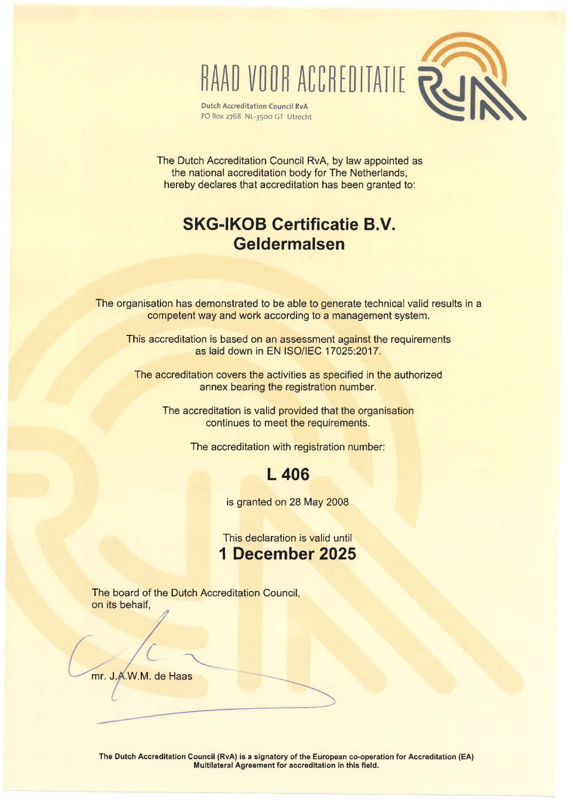RAAD VOOR ACCREDITATIE RUI

**Dutch Accreditation Council RvA** PO Box 2768 NL-3500 GT Utrecht

The Dutch Accreditation Council RvA, by law appointed as the national accreditation body for The Netherlands, hereby declares that accreditation has been granted to:

# **SKG-IKOB Certificatie B.V. Geldermalsen**

The organisation has demonstrated to be able to generate technical valid results in a competent way and work according to a management system.

This accreditation is based on an assessment against the requirements as laid down in EN ISO/IEC 17025:2017.

The accreditation covers the activities as specified in the authorized annex bearing the registration number.

The accreditation is valid provided that the organisation continues to meet the requirements.

The accreditation with registration number:

## **L 406**

is granted on 28 May 2008

This declaration is valid until **1 December 2025** 

The board of the Dutch Accreditation Council, on its behalf,

mr. J.A.W.M. de Haas

---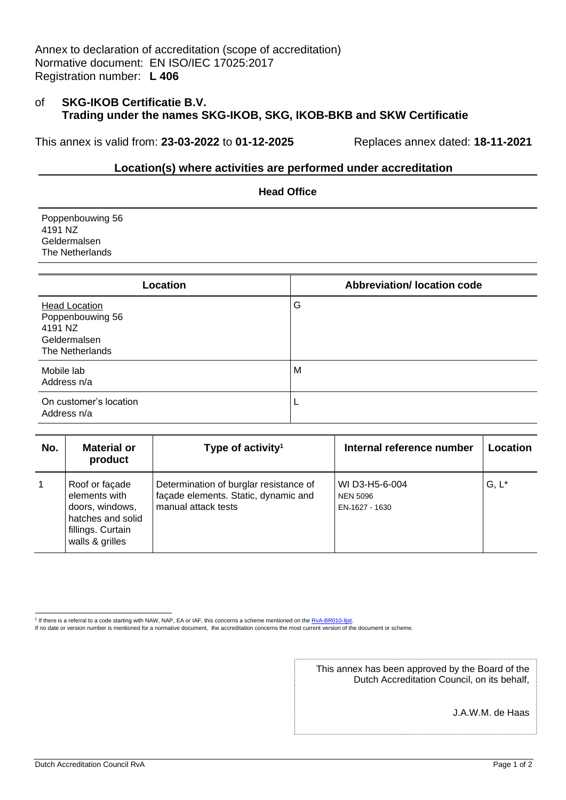Annex to declaration of accreditation (scope of accreditation) Normative document: EN ISO/IEC 17025:2017 Registration number: **L 406**

#### of **SKG-IKOB Certificatie B.V. Trading under the names SKG-IKOB, SKG, IKOB-BKB and SKW Certificatie**

This annex is valid from: **23-03-2022** to **01-12-2025** Replaces annex dated: **18-11-2021**

#### **Location(s) where activities are performed under accreditation**

**Head Office**

Poppenbouwing 56 4191 NZ Geldermalsen The Netherlands

| Location                                                                               | <b>Abbreviation/ location code</b> |
|----------------------------------------------------------------------------------------|------------------------------------|
| <b>Head Location</b><br>Poppenbouwing 56<br>4191 NZ<br>Geldermalsen<br>The Netherlands | G                                  |
| Mobile lab<br>Address n/a                                                              | M                                  |
| On customer's location<br>Address n/a                                                  |                                    |

| No.            | <b>Material or</b><br>product                                                                                   | Type of activity <sup>1</sup>                                                                         | Internal reference number                           | Location |
|----------------|-----------------------------------------------------------------------------------------------------------------|-------------------------------------------------------------------------------------------------------|-----------------------------------------------------|----------|
| $\overline{1}$ | Roof or façade<br>elements with<br>doors, windows,<br>hatches and solid<br>fillings. Curtain<br>walls & grilles | Determination of burglar resistance of<br>façade elements. Static, dynamic and<br>manual attack tests | WI D3-H5-6-004<br><b>NEN 5096</b><br>EN-1627 - 1630 | $G, L^*$ |

This annex has been approved by the Board of the Dutch Accreditation Council, on its behalf,

J.A.W.M. de Haas

<sup>&</sup>lt;sup>1</sup> If there is a referral to a code starting with NAW, NAP, EA or IAF, this concerns a scheme mentioned on the RvA-BR010-lijst.

If no date or version number is mentioned for a normative document, the accreditation concerns the most current version of the document or scheme.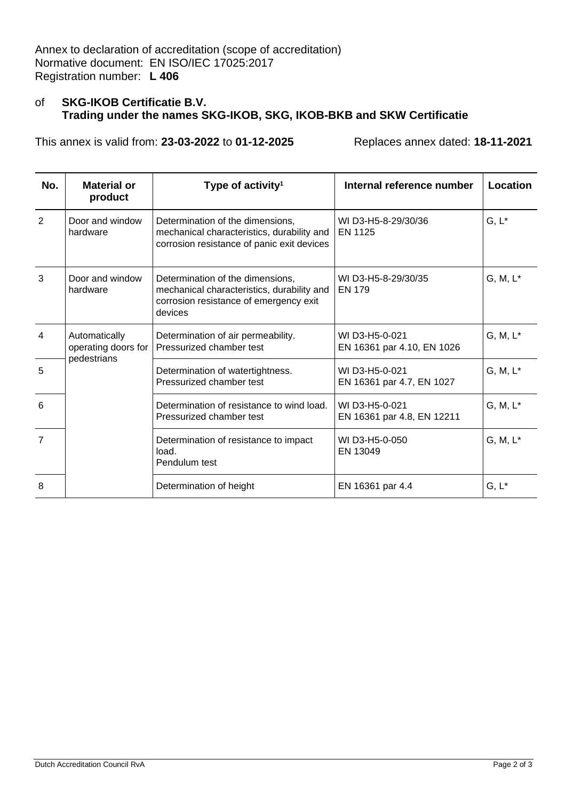| No.             | <b>Material or</b><br>product        | Type of activity <sup>1</sup>                                                                                                       | Internal reference number                    | Location    |
|-----------------|--------------------------------------|-------------------------------------------------------------------------------------------------------------------------------------|----------------------------------------------|-------------|
| $\mathcal{P}$   | Door and window<br>hardware          | Determination of the dimensions,<br>mechanical characteristics, durability and<br>corrosion resistance of panic exit devices        | WID3-H5-8-29/30/36<br>EN 1125                | $G, L^*$    |
| 3               | Door and window<br>hardware          | Determination of the dimensions,<br>mechanical characteristics, durability and<br>corrosion resistance of emergency exit<br>devices | WI D3-H5-8-29/30/35<br><b>EN 179</b>         | G, M, L*    |
| 4               | Automatically<br>operating doors for | Determination of air permeability.<br>Pressurized chamber test                                                                      | WI D3-H5-0-021<br>EN 16361 par 4.10, EN 1026 | $G, M, L^*$ |
| $\sqrt{5}$      | pedestrians                          | Determination of watertightness.<br>Pressurized chamber test                                                                        | WI D3-H5-0-021<br>EN 16361 par 4.7, EN 1027  | $G, M, L^*$ |
| $6\phantom{1}6$ |                                      | Determination of resistance to wind load.<br>Pressurized chamber test                                                               | WI D3-H5-0-021<br>EN 16361 par 4.8, EN 12211 | $G, M, L^*$ |
| $\overline{7}$  |                                      | Determination of resistance to impact<br>load.<br>Pendulum test                                                                     | WI D3-H5-0-050<br>EN 13049                   | $G, M, L^*$ |
| 8               |                                      | Determination of height                                                                                                             | EN 16361 par 4.4                             | $G, L^*$    |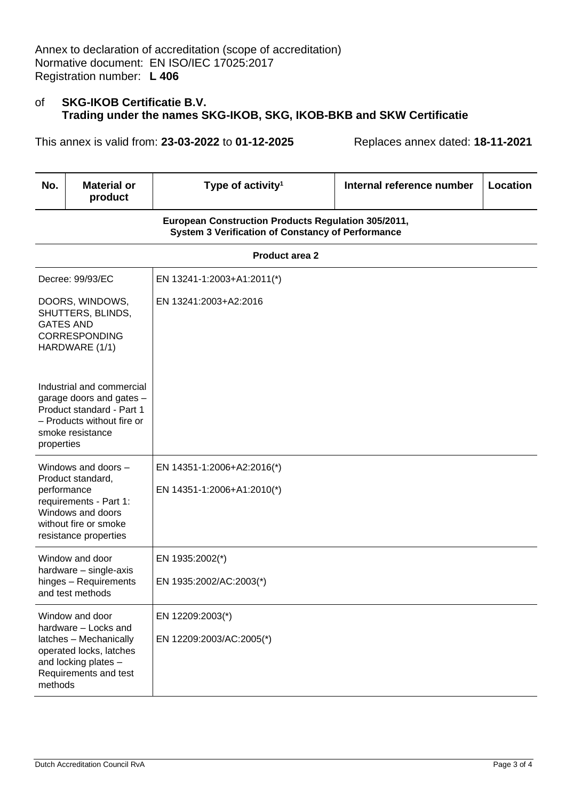| No.              | <b>Material or</b><br>product                                                                                                                 | Type of activity <sup>1</sup>                                                                                   | Internal reference number | Location |
|------------------|-----------------------------------------------------------------------------------------------------------------------------------------------|-----------------------------------------------------------------------------------------------------------------|---------------------------|----------|
|                  |                                                                                                                                               | European Construction Products Regulation 305/2011,<br><b>System 3 Verification of Constancy of Performance</b> |                           |          |
|                  |                                                                                                                                               | <b>Product area 2</b>                                                                                           |                           |          |
|                  | Decree: 99/93/EC                                                                                                                              | EN 13241-1:2003+A1:2011(*)                                                                                      |                           |          |
| <b>GATES AND</b> | DOORS, WINDOWS,<br>SHUTTERS, BLINDS,<br><b>CORRESPONDING</b><br>HARDWARE (1/1)                                                                | EN 13241:2003+A2:2016                                                                                           |                           |          |
| properties       | Industrial and commercial<br>garage doors and gates -<br>Product standard - Part 1<br>- Products without fire or<br>smoke resistance          |                                                                                                                 |                           |          |
| performance      | Windows and doors -<br>Product standard,<br>requirements - Part 1:<br>Windows and doors<br>without fire or smoke<br>resistance properties     | EN 14351-1:2006+A2:2016(*)<br>EN 14351-1:2006+A1:2010(*)                                                        |                           |          |
|                  | Window and door<br>hardware - single-axis<br>hinges - Requirements<br>and test methods                                                        | EN 1935:2002(*)<br>EN 1935:2002/AC:2003(*)                                                                      |                           |          |
| methods          | Window and door<br>hardware - Locks and<br>latches - Mechanically<br>operated locks, latches<br>and locking plates -<br>Requirements and test | EN 12209:2003(*)<br>EN 12209:2003/AC:2005(*)                                                                    |                           |          |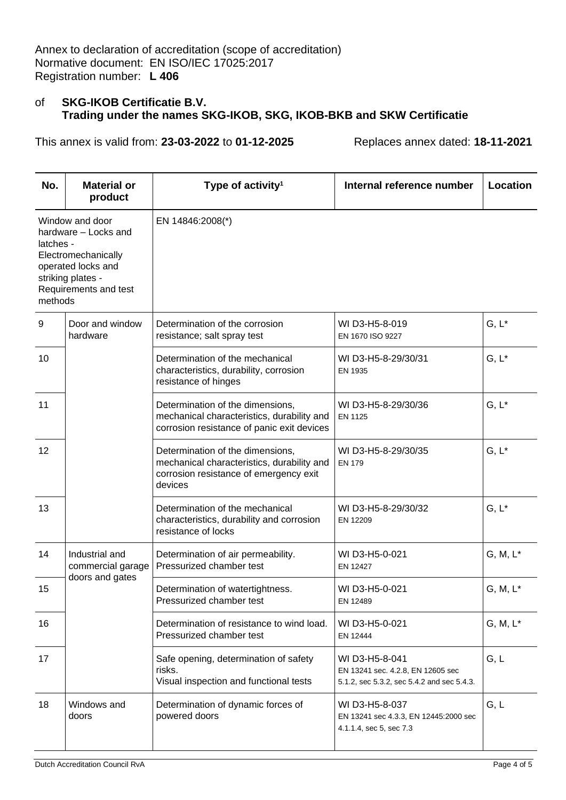| No.                  | <b>Material or</b><br>product                                                                                                      | Type of activity <sup>1</sup>                                                                                                       | Internal reference number                                                                         | Location    |
|----------------------|------------------------------------------------------------------------------------------------------------------------------------|-------------------------------------------------------------------------------------------------------------------------------------|---------------------------------------------------------------------------------------------------|-------------|
| latches -<br>methods | Window and door<br>hardware - Locks and<br>Electromechanically<br>operated locks and<br>striking plates -<br>Requirements and test | EN 14846:2008(*)                                                                                                                    |                                                                                                   |             |
| 9                    | Door and window<br>hardware                                                                                                        | Determination of the corrosion<br>resistance; salt spray test                                                                       | WI D3-H5-8-019<br>EN 1670 ISO 9227                                                                | $G, L^*$    |
| 10                   |                                                                                                                                    | Determination of the mechanical<br>characteristics, durability, corrosion<br>resistance of hinges                                   | WID3-H5-8-29/30/31<br>EN 1935                                                                     | $G, L^*$    |
| 11                   |                                                                                                                                    | Determination of the dimensions,<br>mechanical characteristics, durability and<br>corrosion resistance of panic exit devices        | WID3-H5-8-29/30/36<br>EN 1125                                                                     | $G, L^*$    |
| 12                   |                                                                                                                                    | Determination of the dimensions,<br>mechanical characteristics, durability and<br>corrosion resistance of emergency exit<br>devices | WI D3-H5-8-29/30/35<br><b>EN 179</b>                                                              | $G, L^*$    |
| 13                   |                                                                                                                                    | Determination of the mechanical<br>characteristics, durability and corrosion<br>resistance of locks                                 | WI D3-H5-8-29/30/32<br>EN 12209                                                                   | $G, L^*$    |
| 14                   | Industrial and<br>commercial garage                                                                                                | Determination of air permeability.<br>Pressurized chamber test                                                                      | WI D3-H5-0-021<br>EN 12427                                                                        | $G, M, L^*$ |
| 15                   | doors and gates                                                                                                                    | Determination of watertightness.<br>Pressurized chamber test                                                                        | WI D3-H5-0-021<br>EN 12489                                                                        | $G, M, L^*$ |
| 16                   |                                                                                                                                    | Determination of resistance to wind load.<br>Pressurized chamber test                                                               | WI D3-H5-0-021<br>EN 12444                                                                        | $G, M, L^*$ |
| 17                   |                                                                                                                                    | Safe opening, determination of safety<br>risks.<br>Visual inspection and functional tests                                           | WI D3-H5-8-041<br>EN 13241 sec. 4.2.8, EN 12605 sec<br>5.1.2, sec 5.3.2, sec 5.4.2 and sec 5.4.3. | G, L        |
| 18                   | Windows and<br>doors                                                                                                               | Determination of dynamic forces of<br>powered doors                                                                                 | WI D3-H5-8-037<br>EN 13241 sec 4.3.3, EN 12445:2000 sec<br>4.1.1.4, sec 5, sec 7.3                | G, L        |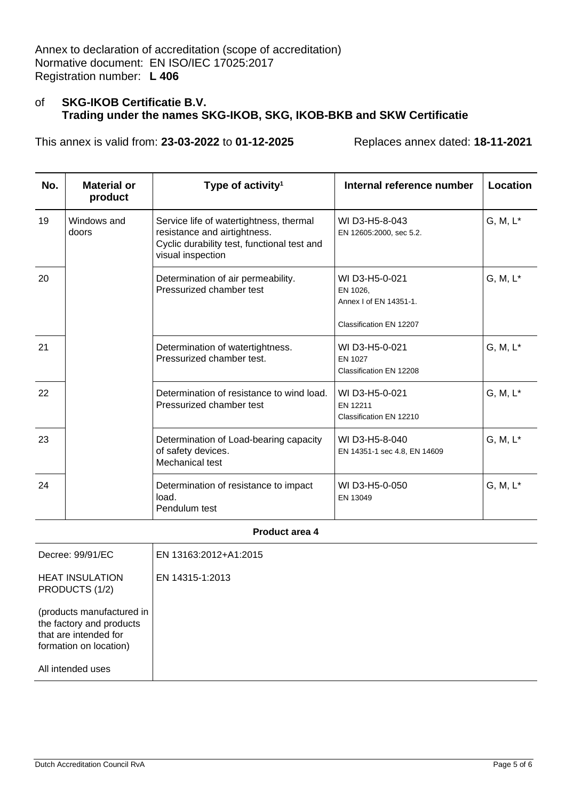This annex is valid from: **23-03-2022** to **01-12-2025** Replaces annex dated: **18-11-2021**

| No. | <b>Material or</b><br>product | Type of activity <sup>1</sup>                                                                                                               | Internal reference number                                                       | Location    |
|-----|-------------------------------|---------------------------------------------------------------------------------------------------------------------------------------------|---------------------------------------------------------------------------------|-------------|
| 19  | Windows and<br>doors          | Service life of watertightness, thermal<br>resistance and airtightness.<br>Cyclic durability test, functional test and<br>visual inspection | WI D3-H5-8-043<br>EN 12605:2000, sec 5.2.                                       | $G, M, L^*$ |
| 20  |                               | Determination of air permeability.<br>Pressurized chamber test                                                                              | WI D3-H5-0-021<br>EN 1026,<br>Annex I of EN 14351-1.<br>Classification EN 12207 | $G, M, L^*$ |
| 21  |                               | Determination of watertightness.<br>Pressurized chamber test.                                                                               | WI D3-H5-0-021<br>EN 1027<br>Classification EN 12208                            | $G, M, L^*$ |
| 22  |                               | Determination of resistance to wind load.<br>Pressurized chamber test                                                                       | WI D3-H5-0-021<br>EN 12211<br>Classification EN 12210                           | $G, M, L^*$ |
| 23  |                               | Determination of Load-bearing capacity<br>of safety devices.<br>Mechanical test                                                             | WI D3-H5-8-040<br>EN 14351-1 sec 4.8, EN 14609                                  | $G, M, L^*$ |
| 24  |                               | Determination of resistance to impact<br>load.<br>Pendulum test                                                                             | WI D3-H5-0-050<br>EN 13049                                                      | $G, M, L^*$ |

**Product area 4**

| Decree: 99/91/EC                                                                                         | EN 13163:2012+A1:2015 |
|----------------------------------------------------------------------------------------------------------|-----------------------|
| <b>HEAT INSULATION</b><br>PRODUCTS (1/2)                                                                 | EN 14315-1:2013       |
| (products manufactured in<br>the factory and products<br>that are intended for<br>formation on location) |                       |
| All intended uses                                                                                        |                       |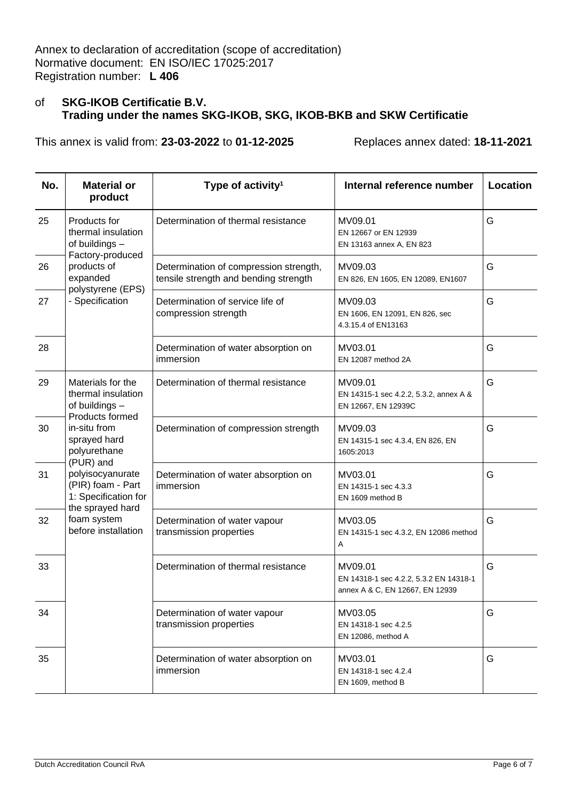| No. | <b>Material or</b><br>product                                                                  | Type of activity <sup>1</sup>                                                   | Internal reference number                                                            | Location |
|-----|------------------------------------------------------------------------------------------------|---------------------------------------------------------------------------------|--------------------------------------------------------------------------------------|----------|
| 25  | Products for<br>thermal insulation<br>of buildings -<br>Factory-produced                       | Determination of thermal resistance                                             | MV09.01<br>EN 12667 or EN 12939<br>EN 13163 annex A, EN 823                          | G        |
| 26  | products of<br>expanded                                                                        | Determination of compression strength,<br>tensile strength and bending strength | MV09.03<br>EN 826, EN 1605, EN 12089, EN1607                                         | G        |
| 27  | polystyrene (EPS)<br>- Specification                                                           | Determination of service life of<br>compression strength                        | MV09.03<br>EN 1606, EN 12091, EN 826, sec<br>4.3.15.4 of EN13163                     | G        |
| 28  |                                                                                                | Determination of water absorption on<br>immersion                               | MV03.01<br>EN 12087 method 2A                                                        | G        |
| 29  | Materials for the<br>thermal insulation<br>of buildings -<br>Products formed                   | Determination of thermal resistance                                             | MV09.01<br>EN 14315-1 sec 4.2.2, 5.3.2, annex A &<br>EN 12667, EN 12939C             | G        |
| 30  | in-situ from<br>sprayed hard<br>polyurethane                                                   | Determination of compression strength                                           | MV09.03<br>EN 14315-1 sec 4.3.4, EN 826, EN<br>1605:2013                             | G        |
| 31  | (PUR) and<br>polyisocyanurate<br>(PIR) foam - Part<br>1: Specification for<br>the sprayed hard | Determination of water absorption on<br>immersion                               | MV03.01<br>EN 14315-1 sec 4.3.3<br>EN 1609 method B                                  | G        |
| 32  | foam system<br>before installation                                                             | Determination of water vapour<br>transmission properties                        | MV03.05<br>EN 14315-1 sec 4.3.2, EN 12086 method<br>Α                                | G        |
| 33  |                                                                                                | Determination of thermal resistance                                             | MV09.01<br>EN 14318-1 sec 4.2.2, 5.3.2 EN 14318-1<br>annex A & C, EN 12667, EN 12939 | G        |
| 34  |                                                                                                | Determination of water vapour<br>transmission properties                        | MV03.05<br>EN 14318-1 sec 4.2.5<br>EN 12086, method A                                | G        |
| 35  |                                                                                                | Determination of water absorption on<br>immersion                               | MV03.01<br>EN 14318-1 sec 4.2.4<br>EN 1609, method B                                 | G        |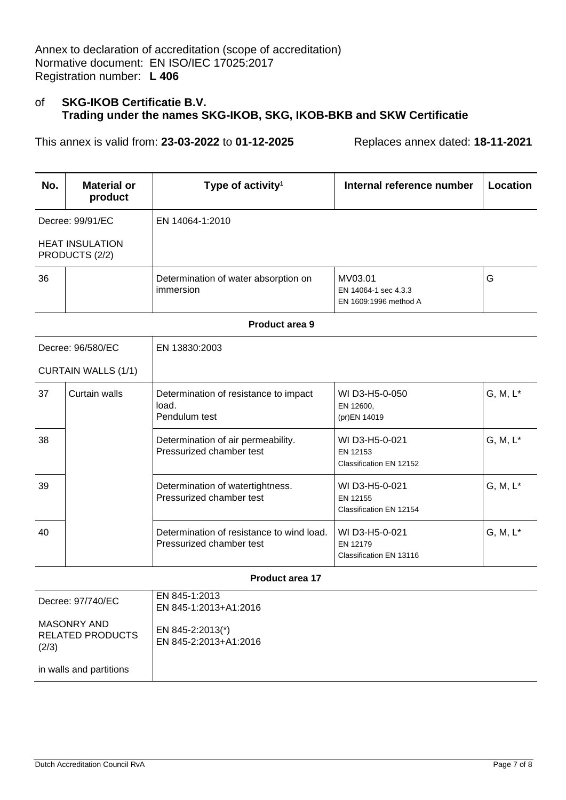This annex is valid from: **23-03-2022** to **01-12-2025** Replaces annex dated: **18-11-2021**

| No.                        | <b>Material or</b><br>product            | Type of activity <sup>1</sup>                                         | Internal reference number                                | Location    |
|----------------------------|------------------------------------------|-----------------------------------------------------------------------|----------------------------------------------------------|-------------|
|                            | Decree: 99/91/EC                         | EN 14064-1:2010                                                       |                                                          |             |
|                            | <b>HEAT INSULATION</b><br>PRODUCTS (2/2) |                                                                       |                                                          |             |
| 36                         |                                          | Determination of water absorption on<br>immersion                     | MV03.01<br>EN 14064-1 sec 4.3.3<br>EN 1609:1996 method A | G           |
|                            |                                          | <b>Product area 9</b>                                                 |                                                          |             |
|                            | Decree: 96/580/EC                        | EN 13830:2003                                                         |                                                          |             |
| <b>CURTAIN WALLS (1/1)</b> |                                          |                                                                       |                                                          |             |
| 37                         | Curtain walls                            | Determination of resistance to impact<br>load.<br>Pendulum test       | WI D3-H5-0-050<br>EN 12600,<br>(pr)EN 14019              | $G, M, L^*$ |
| 38                         |                                          | Determination of air permeability.<br>Pressurized chamber test        | WI D3-H5-0-021<br>EN 12153<br>Classification EN 12152    | $G, M, L^*$ |
| 39                         |                                          | Determination of watertightness.<br>Pressurized chamber test          | WI D3-H5-0-021<br>EN 12155<br>Classification EN 12154    | $G, M, L^*$ |
| 40                         |                                          | Determination of resistance to wind load.<br>Pressurized chamber test | WI D3-H5-0-021<br>EN 12179<br>Classification EN 13116    | $G, M, L^*$ |

## **Product area 17**

| Decree: 97/740/EC                               | EN 845-1:2013<br>EN 845-1:2013+A1:2016    |
|-------------------------------------------------|-------------------------------------------|
| MASONRY AND<br><b>RELATED PRODUCTS</b><br>(2/3) | EN 845-2:2013(*)<br>EN 845-2:2013+A1:2016 |
| in walls and partitions                         |                                           |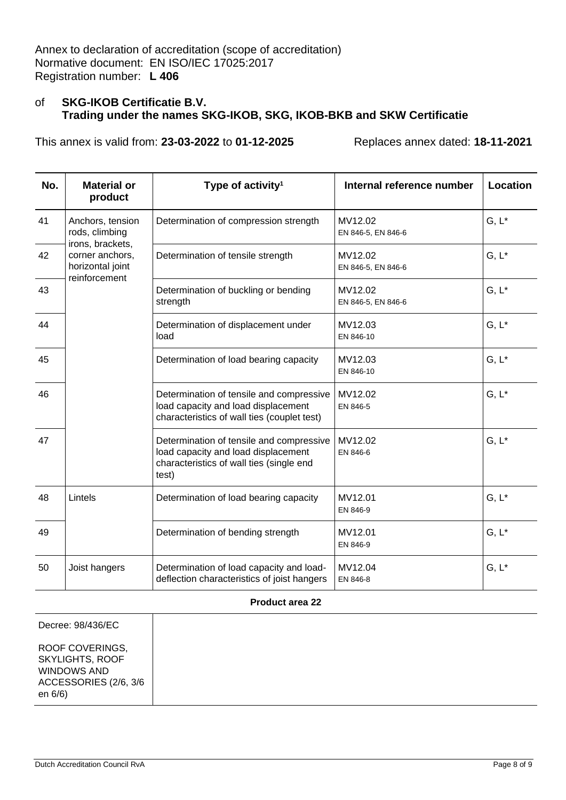This annex is valid from: **23-03-2022** to **01-12-2025** Replaces annex dated: **18-11-2021**

| No. | <b>Material or</b><br>product                          | Type of activity <sup>1</sup>                                                                                                        | Internal reference number     | Location |
|-----|--------------------------------------------------------|--------------------------------------------------------------------------------------------------------------------------------------|-------------------------------|----------|
| 41  | Anchors, tension<br>rods, climbing<br>irons, brackets, | Determination of compression strength                                                                                                | MV12.02<br>EN 846-5, EN 846-6 | $G, L^*$ |
| 42  | corner anchors,<br>horizontal joint<br>reinforcement   | Determination of tensile strength                                                                                                    | MV12.02<br>EN 846-5, EN 846-6 | $G, L^*$ |
| 43  |                                                        | Determination of buckling or bending<br>strength                                                                                     | MV12.02<br>EN 846-5, EN 846-6 | $G, L^*$ |
| 44  |                                                        | Determination of displacement under<br>load                                                                                          | MV12.03<br>EN 846-10          | $G, L^*$ |
| 45  |                                                        | Determination of load bearing capacity                                                                                               | MV12.03<br>EN 846-10          | $G, L^*$ |
| 46  |                                                        | Determination of tensile and compressive<br>load capacity and load displacement<br>characteristics of wall ties (couplet test)       | MV12.02<br>EN 846-5           | $G, L^*$ |
| 47  |                                                        | Determination of tensile and compressive<br>load capacity and load displacement<br>characteristics of wall ties (single end<br>test) | MV12.02<br>EN 846-6           | $G, L^*$ |
| 48  | Lintels                                                | Determination of load bearing capacity                                                                                               | MV12.01<br>EN 846-9           | $G, L^*$ |
| 49  |                                                        | Determination of bending strength                                                                                                    | MV12.01<br>EN 846-9           | $G, L^*$ |
| 50  | Joist hangers                                          | Determination of load capacity and load-<br>deflection characteristics of joist hangers                                              | MV12.04<br>EN 846-8           | $G, L^*$ |

#### **Product area 22**

Decree: 98/436/EC

ROOF COVERINGS, SKYLIGHTS, ROOF WINDOWS AND ACCESSORIES (2/6, 3/6 en 6/6)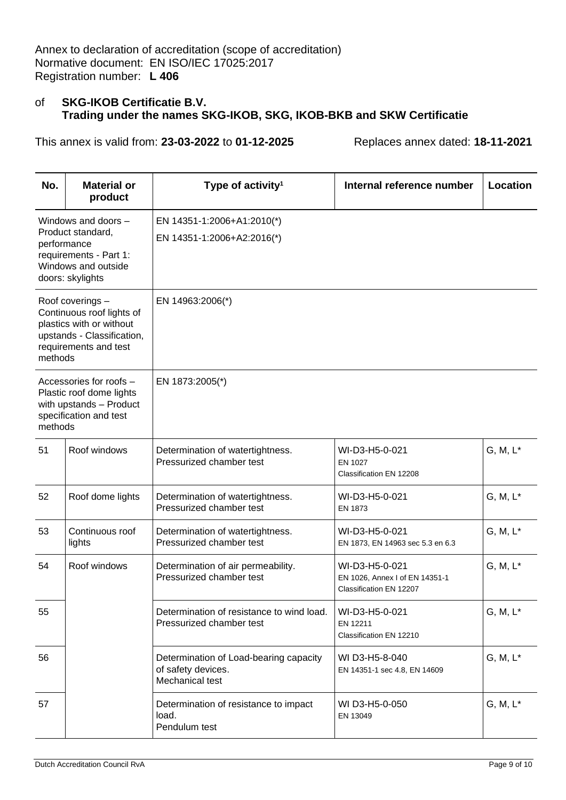| No.     | <b>Material or</b><br>product                                                                                                    | Type of activity <sup>1</sup>                                                   | Internal reference number                                                   | Location    |
|---------|----------------------------------------------------------------------------------------------------------------------------------|---------------------------------------------------------------------------------|-----------------------------------------------------------------------------|-------------|
|         | Windows and doors -<br>Product standard,<br>performance<br>requirements - Part 1:<br>Windows and outside<br>doors: skylights     | EN 14351-1:2006+A1:2010(*)<br>EN 14351-1:2006+A2:2016(*)                        |                                                                             |             |
| methods | Roof coverings -<br>Continuous roof lights of<br>plastics with or without<br>upstands - Classification,<br>requirements and test | EN 14963:2006(*)                                                                |                                                                             |             |
| methods | Accessories for roofs -<br>Plastic roof dome lights<br>with upstands - Product<br>specification and test                         | EN 1873:2005(*)                                                                 |                                                                             |             |
| 51      | Roof windows                                                                                                                     | Determination of watertightness.<br>Pressurized chamber test                    | WI-D3-H5-0-021<br>EN 1027<br>Classification EN 12208                        | $G, M, L^*$ |
| 52      | Roof dome lights                                                                                                                 | Determination of watertightness.<br>Pressurized chamber test                    | WI-D3-H5-0-021<br>EN 1873                                                   | $G, M, L^*$ |
| 53      | Continuous roof<br>lights                                                                                                        | Determination of watertightness.<br>Pressurized chamber test                    | WI-D3-H5-0-021<br>EN 1873, EN 14963 sec 5.3 en 6.3                          | $G, M, L^*$ |
| 54      | Roof windows                                                                                                                     | Determination of air permeability.<br>Pressurized chamber test                  | WI-D3-H5-0-021<br>EN 1026, Annex I of EN 14351-1<br>Classification EN 12207 | $G, M, L^*$ |
| 55      |                                                                                                                                  | Determination of resistance to wind load.<br>Pressurized chamber test           | WI-D3-H5-0-021<br>EN 12211<br>Classification EN 12210                       | $G, M, L^*$ |
| 56      |                                                                                                                                  | Determination of Load-bearing capacity<br>of safety devices.<br>Mechanical test | WI D3-H5-8-040<br>EN 14351-1 sec 4.8, EN 14609                              | $G, M, L^*$ |
| 57      |                                                                                                                                  | Determination of resistance to impact<br>load.<br>Pendulum test                 | WI D3-H5-0-050<br>EN 13049                                                  | $G, M, L^*$ |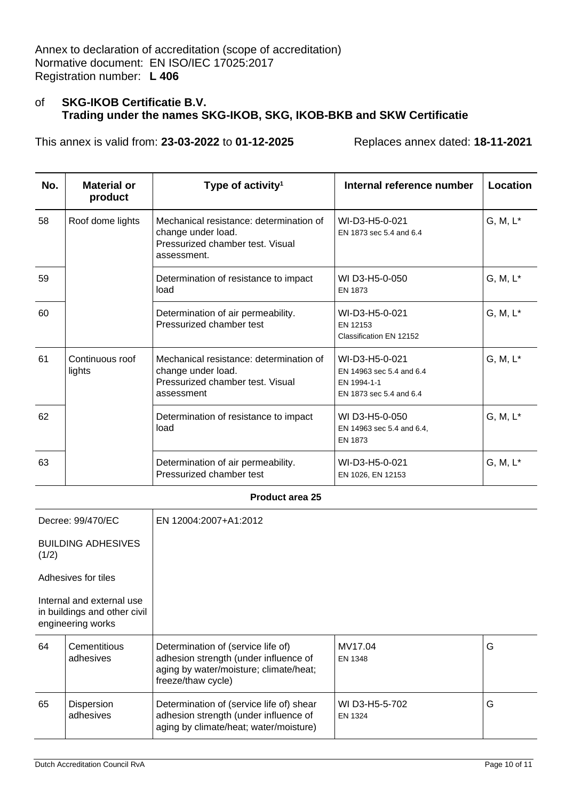This annex is valid from: **23-03-2022** to **01-12-2025** Replaces annex dated: **18-11-2021**

| No. | <b>Material or</b><br>product | Type of activity <sup>1</sup>                                                                                    | Internal reference number                                                            | Location    |
|-----|-------------------------------|------------------------------------------------------------------------------------------------------------------|--------------------------------------------------------------------------------------|-------------|
| 58  | Roof dome lights              | Mechanical resistance: determination of<br>change under load.<br>Pressurized chamber test. Visual<br>assessment. | WI-D3-H5-0-021<br>EN 1873 sec 5.4 and 6.4                                            | $G, M, L^*$ |
| 59  |                               | Determination of resistance to impact<br>load                                                                    | WI D3-H5-0-050<br>EN 1873                                                            | $G, M, L^*$ |
| 60  |                               | Determination of air permeability.<br>Pressurized chamber test                                                   | WI-D3-H5-0-021<br>EN 12153<br>Classification EN 12152                                | $G, M, L^*$ |
| 61  | Continuous roof<br>lights     | Mechanical resistance: determination of<br>change under load.<br>Pressurized chamber test. Visual<br>assessment  | WI-D3-H5-0-021<br>EN 14963 sec 5.4 and 6.4<br>EN 1994-1-1<br>EN 1873 sec 5.4 and 6.4 | $G, M, L^*$ |
| 62  |                               | Determination of resistance to impact<br>load                                                                    | WI D3-H5-0-050<br>EN 14963 sec 5.4 and 6.4,<br>EN 1873                               | $G, M, L^*$ |
| 63  |                               | Determination of air permeability.<br>Pressurized chamber test                                                   | WI-D3-H5-0-021<br>EN 1026, EN 12153                                                  | $G, M, L^*$ |

#### **Product area 25**

| Decree: 99/470/EC                                                              |                           | EN 12004:2007+A1:2012                                                                                                                       |                           |   |
|--------------------------------------------------------------------------------|---------------------------|---------------------------------------------------------------------------------------------------------------------------------------------|---------------------------|---|
| <b>BUILDING ADHESIVES</b><br>(1/2)                                             |                           |                                                                                                                                             |                           |   |
| Adhesives for tiles                                                            |                           |                                                                                                                                             |                           |   |
| Internal and external use<br>in buildings and other civil<br>engineering works |                           |                                                                                                                                             |                           |   |
| 64                                                                             | Cementitious<br>adhesives | Determination of (service life of)<br>adhesion strength (under influence of<br>aging by water/moisture; climate/heat;<br>freeze/thaw cycle) | MV17.04<br>EN 1348        | G |
| 65                                                                             | Dispersion<br>adhesives   | Determination of (service life of) shear<br>adhesion strength (under influence of<br>aging by climate/heat; water/moisture)                 | WI D3-H5-5-702<br>EN 1324 | G |